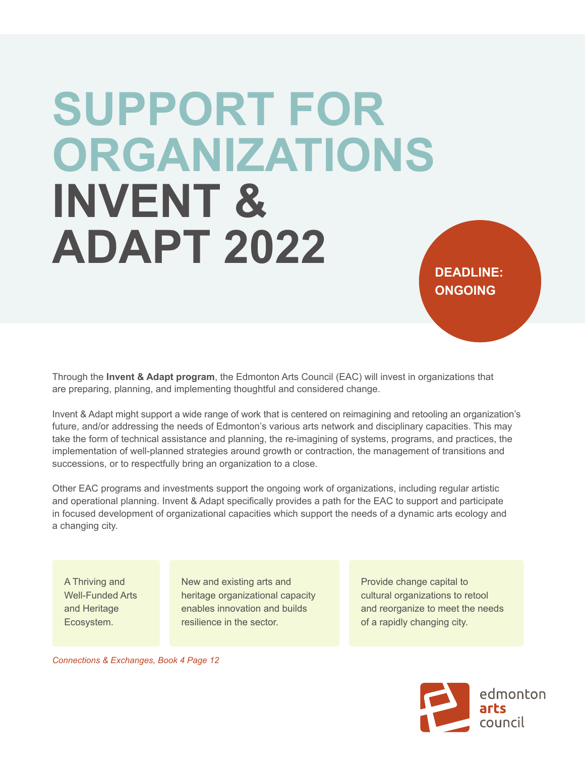# **SUPPORT FOR ORGANIZATIONS INVENT & ADAPT 2022 DEADLINE:**

Through the **Invent & Adapt program**, the Edmonton Arts Council (EAC) will invest in organizations that are preparing, planning, and implementing thoughtful and considered change.

Invent & Adapt might support a wide range of work that is centered on reimagining and retooling an organization's future, and/or addressing the needs of Edmonton's various arts network and disciplinary capacities. This may take the form of technical assistance and planning, the re-imagining of systems, programs, and practices, the implementation of well-planned strategies around growth or contraction, the management of transitions and successions, or to respectfully bring an organization to a close.

Other EAC programs and investments support the ongoing work of organizations, including regular artistic and operational planning. Invent & Adapt specifically provides a path for the EAC to support and participate in focused development of organizational capacities which support the needs of a dynamic arts ecology and a changing city.

A Thriving and Well-Funded Arts and Heritage Ecosystem.

New and existing arts and heritage organizational capacity enables innovation and builds resilience in the sector.

Provide change capital to cultural organizations to retool and reorganize to meet the needs of a rapidly changing city.

**ONGOING**

*Connections & Exchanges, Book 4 Page 12*

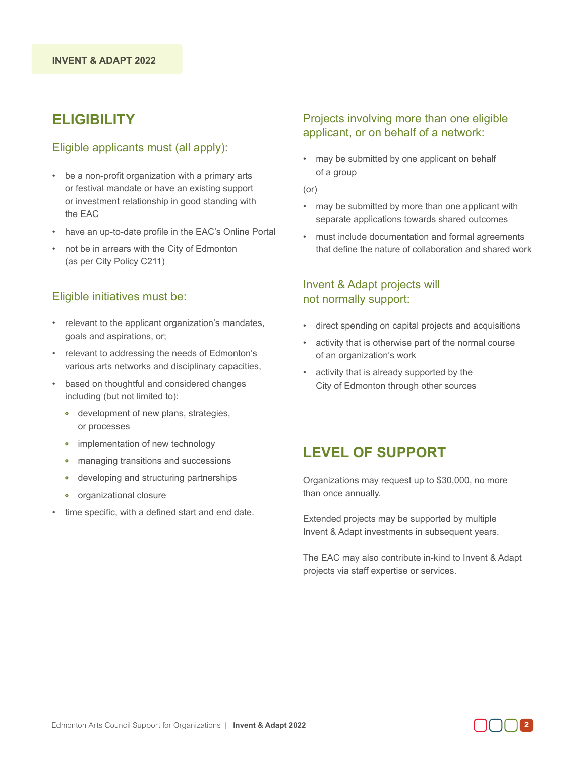# **ELIGIBILITY**

#### Eligible applicants must (all apply):

- be a non-profit organization with a primary arts or festival mandate or have an existing support or investment relationship in good standing with the EAC
- have an up-to-date profile in the EAC's Online Portal
- not be in arrears with the City of Edmonton (as per City Policy C211)

#### Eligible initiatives must be:

- relevant to the applicant organization's mandates, goals and aspirations, or;
- relevant to addressing the needs of Edmonton's various arts networks and disciplinary capacities,
- based on thoughtful and considered changes including (but not limited to):
	- development of new plans, strategies, or processes
	- implementation of new technology
	- managing transitions and successions
	- developing and structuring partnerships
	- organizational closure
- time specific, with a defined start and end date.

### Projects involving more than one eligible applicant, or on behalf of a network:

• may be submitted by one applicant on behalf of a group

(or)

- may be submitted by more than one applicant with separate applications towards shared outcomes
- must include documentation and formal agreements that define the nature of collaboration and shared work

## Invent & Adapt projects will not normally support:

- direct spending on capital projects and acquisitions
- activity that is otherwise part of the normal course of an organization's work
- activity that is already supported by the City of Edmonton through other sources

## **LEVEL OF SUPPORT**

Organizations may request up to \$30,000, no more than once annually.

Extended projects may be supported by multiple Invent & Adapt investments in subsequent years.

The EAC may also contribute in-kind to Invent & Adapt projects via staff expertise or services.

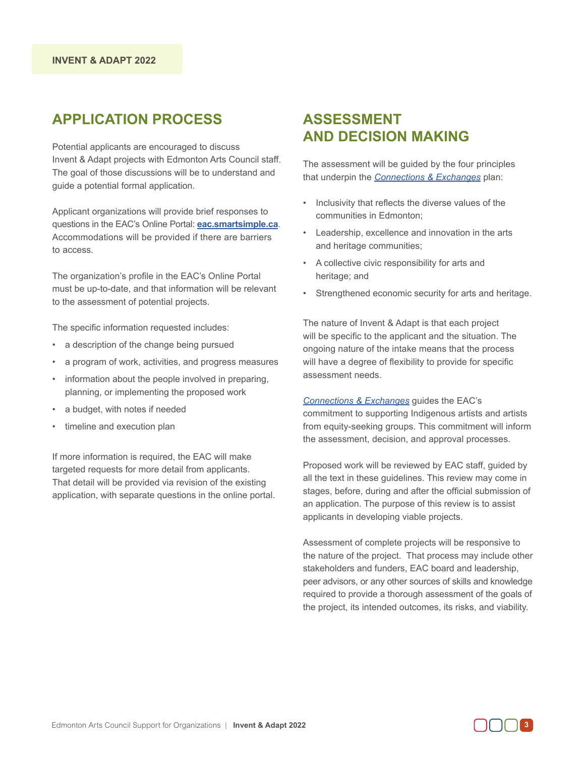# **APPLICATION PROCESS**

Potential applicants are encouraged to discuss Invent & Adapt projects with Edmonton Arts Council staff. The goal of those discussions will be to understand and guide a potential formal application.

Applicant organizations will provide brief responses to questions in the EAC's Online Portal: **eac.smartsimple.ca**. Accommodations will be provided if there are barriers to access.

The organization's profile in the EAC's Online Portal must be up-to-date, and that information will be relevant to the assessment of potential projects.

The specific information requested includes:

- a description of the change being pursued
- a program of work, activities, and progress measures
- information about the people involved in preparing, planning, or implementing the proposed work
- a budget, with notes if needed
- timeline and execution plan

If more information is required, the EAC will make targeted requests for more detail from applicants. That detail will be provided via revision of the existing application, with separate questions in the online portal.

## **ASSESSMENT AND DECISION MAKING**

The assessment will be guided by the four principles that underpin the *Connections & Exchanges* plan:

- Inclusivity that reflects the diverse values of the communities in Edmonton;
- Leadership, excellence and innovation in the arts and heritage communities;
- A collective civic responsibility for arts and heritage; and
- Strengthened economic security for arts and heritage.

The nature of Invent & Adapt is that each project will be specific to the applicant and the situation. The ongoing nature of the intake means that the process will have a degree of flexibility to provide for specific assessment needs.

*Connections & Exchanges* guides the EAC's commitment to supporting Indigenous artists and artists from equity-seeking groups. This commitment will inform the assessment, decision, and approval processes.

Proposed work will be reviewed by EAC staff, guided by all the text in these guidelines. This review may come in stages, before, during and after the official submission of an application. The purpose of this review is to assist applicants in developing viable projects.

Assessment of complete projects will be responsive to the nature of the project. That process may include other stakeholders and funders, EAC board and leadership, peer advisors, or any other sources of skills and knowledge required to provide a thorough assessment of the goals of the project, its intended outcomes, its risks, and viability.